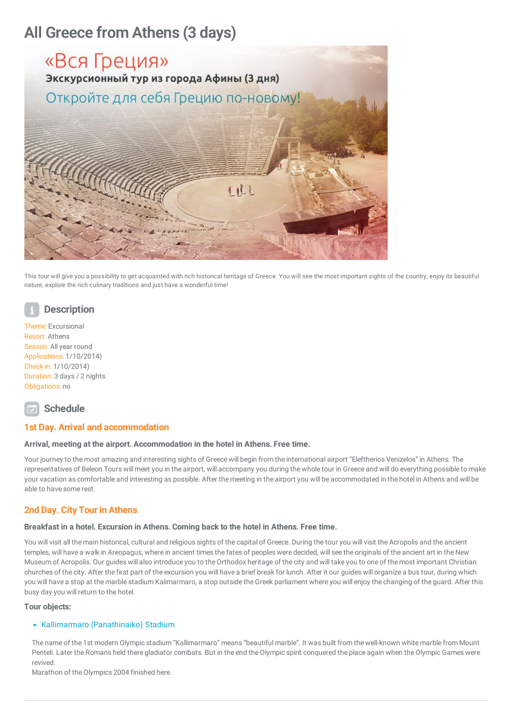# All Greece from Athens (3 days)



This tour will give you a possibility to get acquainted with rich historical heritage of Greece. You will see the most important sights of the country, enjoy its beautiful nature, explore the rich culinary traditions and just have a wonderful time!

# **Description**

Theme: Excursional Resort: Athens Season: All year round Applications: 1/10/2014) Check in: 1/10/2014) Duration: 3 days / 2 nights Obligations: no

# **Schedule**

# 1st Day. Arrival and accommodation

## Arrival, meeting at the airport. Accommodation in the hotel in Athens. Free time.

Your journey to the most amazing and interesting sights of Greece will begin from the international airport "Eleftherios Venizelos" in Athens. The representatives of Beleon Tours will meet you in the airport, will accompany you during thewhole tour in Greece and will do everything possible to make your vacation as comfortable and interesting as possible. After the meeting in the airport you will be accommodated in the hotel in Athens and will be able to have some rest.

# 2nd Day. City Tour in Athens

## Breakfast in a hotel. Excursion in Athens. Coming back to the hotel in Athens. Free time.

You will visit all the main historical, cultural and religious sights of the capital of Greece. During the touryou will visit the Acropolis and the ancient temples, will have a walk in Areopagus, where in ancient times the fates of peoples were decided, will see the originals of the ancient art in the New Museum of Acropolis. Our guides will also introduce you to the Orthodox heritage of the city and will take you to one of the most important Christian churches of the city. After the first part of the excursion you will have a brief break for lunch. After it our guides will organize a bus tour, during which you will have a stop at the marble stadium Kalimarmaro, a stop outside the Greek parliament where you will enjoy the changing of the guard. After this busy day you will return to the hotel.

## Tour objects:

## **\*** Kallimarmaro (Panathinaiko) Stadium

The name of the 1st modern Olympic stadium "Kallimarmaro" means "beautiful marble". It was built from thewell-known white marble from Mount Penteli. Later the Romans held there gladiator combats. But in the end the Olympic spirit conquered the place again when the Olympic Games were revived.

Marathon of the Olympics 2004 finished here.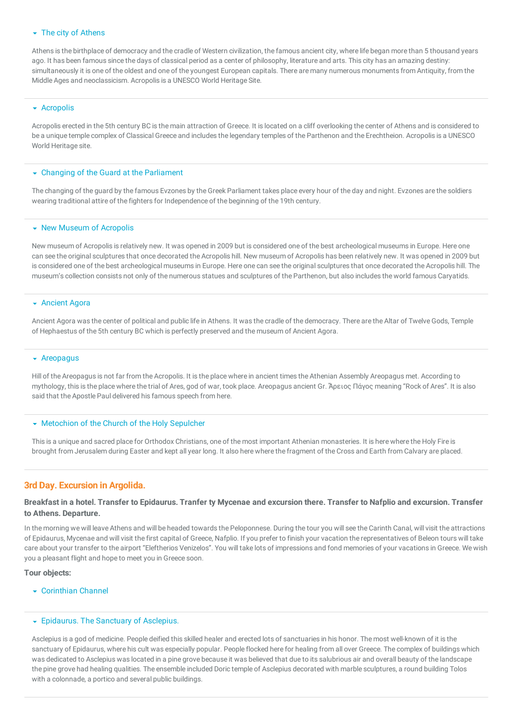# $\overline{\phantom{a}}$  The city of Athens

Athens is the birthplace of democracy and the cradle of Western civilization, the famous ancient city, where life began more than 5 thousand years ago. It has been famous since the days of classical period as a center of philosophy, literature and arts. This city has an amazing destiny: simultaneously it is one of the oldest and one of the youngest European capitals. There are many numerous monuments from Antiquity, from the Middle Ages and neoclassicism. Acropolis is a UNESCO World Heritage Site.

#### **\*** Acropolis

Acropolis erected in the 5th century BC is the main attraction of Greece. It is located on a cliff overlooking the center of Athens and is considered to be a unique temple complex of Classical Greece and includes the legendary temples of the Parthenon and the Erechtheion. Acropolis is a UNESCO World Heritage site.

#### Changing of the Guard at the Parliament

The changing of the guard by the famous Evzones by the Greek Parliament takes place every hour of the day and night. Evzones are the soldiers wearing traditional attire of the fighters for Independence of the beginning of the 19th century.

#### • New Museum of Acropolis

New museum of Acropolis is relatively new. It was opened in 2009 but is considered one of the best archeological museums in Europe. Here one can see the original sculptures that once decorated the Acropolis hill. New museum of Acropolis has been relatively new. It was opened in 2009 but is considered one of the best archeological museums in Europe. Here one can see the original sculptures that once decorated the Acropolis hill. The museum's collection consists not only of the numerous statues and sculptures of the Parthenon, but also includes theworld famous Caryatids.

#### **Ancient Agora**

Ancient Agora was the center of political and public life in Athens. It was the cradle of the democracy. There are the Altar of Twelve Gods, Temple of Hephaestus of the 5th century BC which is perfectly preserved and the museum of Ancient Agora.

## $\overline{\phantom{a}}$  Areopagus

Hill of the Areopagus is not far from the Acropolis. It is the placewhere in ancient times the Athenian Assembly Areopagus met. According to mythology, this is the placewhere the trial of Ares, god of war, took place. Areopagus ancient Gr. Ἄρειος Πάγος meaning "Rock of Ares". It is also said that the Apostle Paul delivered his famous speech from here.

#### **Wetochion of the Church of the Holy Sepulcher**

This is a unique and sacred place for Orthodox Christians, one of the most important Athenian monasteries. It is herewhere the Holy Fire is brought from Jerusalem during Easter and kept allyear long. It also herewhere the fragment of the Cross and Earth from Calvary are placed.

## 3rd Day. Excursion in Argolida.

# Breakfast in a hotel. Transfer to Epidaurus. Tranfer ty Mycenae and excursion there. Transfer to Nafplio and excursion. Transfer to Athens. Departure.

In the morning we will leave Athens and will be headed towards the Peloponnese. During the tour you will see the Carinth Canal, will visit the attractions of Epidaurus, Mycenae and will visit the first capital of Greece, Nafplio. Ifyou prefer to finish your vacation the representatives of Beleon tours will take care about your transfer to the airport "Eleftherios Venizelos". You will take lots of impressions and fond memories ofyour vacations in Greece. Wewish you a pleasant flight and hope to meet you in Greece soon.

#### Tour objects:

 $\overline{\phantom{a}}$  Corinthian Channel

#### **Epidaurus. The Sanctuary of Asclepius.**

Asclepius is a god of medicine. People deified this skilled healer and erected lots of sanctuaries in his honor. The most well-known of it is the sanctuary of Epidaurus, where his cult was especially popular. People flocked here for healing from all over Greece. The complex of buildings which was dedicated to Asclepius was located in a pine grove because it was believed that due to its salubrious air and overall beauty of the landscape the pine grove had healing qualities. The ensemble included Doric temple of Asclepius decorated with marble sculptures, a round building Tolos with a colonnade, a portico and several public buildings.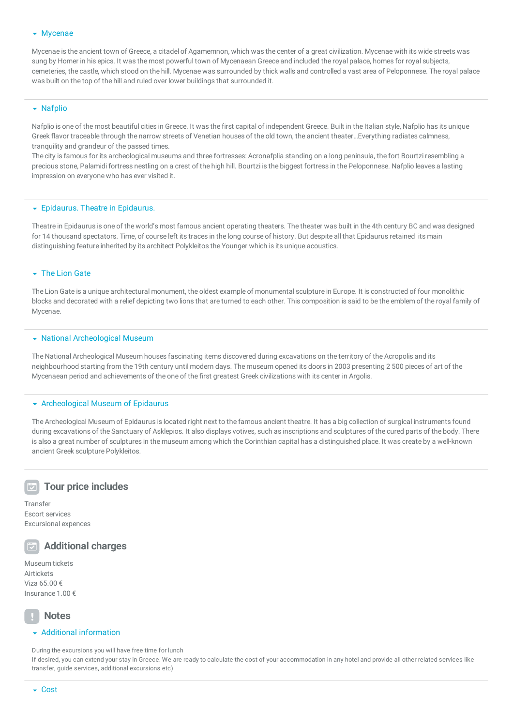## **Wycenae**

Mycenae is the ancient town of Greece, a citadel of Agamemnon, which was the center of a great civilization. Mycenaewith its wide streets was sung by Homer in his epics. It was the most powerful town of Mycenaean Greece and included the royal palace, homes for royal subjects, cemeteries, the castle, which stood on the hill. Mycenaewas surrounded by thick walls and controlled a vast area of Peloponnese. The royal palace was built on the top of the hill and ruled over lower buildings that surrounded it.

## $\blacktriangleright$  Nafplio

Nafplio is one of the most beautiful cities in Greece. It was the first capital of independent Greece. Built in the Italian style, Nafplio has its unique Greek flavor traceable through the narrow streets of Venetian houses of the old town, the ancient theater…Everything radiates calmness, tranquility and grandeur of the passed times.

The city is famous for its archeological museums and three fortresses: Acronafplia standing on a long peninsula, the fort Bourtzi resembling a precious stone, Palamidi fortress nestling on a crest of the high hill. Bourtzi is the biggest fortress in the Peloponnese. Nafplio leaves a lasting impression on everyone who has ever visited it.

#### **Epidaurus. Theatre in Epidaurus.**

Theatre in Epidaurus is one of theworld's most famous ancient operating theaters. The theater was built in the 4th century BC and was designed for 14 thousand spectators. Time, of course left its traces in the long course of history. But despite all that Epidaurus retained its main distinguishing feature inherited by its architect Polykleitos the Younger which is its unique acoustics.

#### **The Lion Gate**

The Lion Gate is a unique architectural monument, the oldest example of monumental sculpture in Europe. It is constructed of four monolithic blocks and decorated with a relief depicting two lions that are turned to each other. This composition is said to be the emblem of the royal family of Mycenae.

#### National Archeological Museum

The National Archeological Museum houses fascinating items discovered during excavations on the territory of the Acropolis and its neighbourhood starting from the 19th century until modern days. The museum opened its doors in 2003 presenting 2 500 pieces of art of the Mycenaean period and achievements of the one of the first greatest Greek civilizations with its center in Argolis.

## Archeological Museum of Epidaurus

The Archeological Museum of Epidaurus is located right next to the famous ancient theatre. It has a big collection of surgical instruments found during excavations of the Sanctuary of Asklepios. It also displays votives, such as inscriptions and sculptures of the cured parts of the body. There is also a great number of sculptures in the museum among which the Corinthian capital has a distinguished place. It was create by a well-known ancient Greek sculpture Polykleitos.

# $\overline{w}$  Tour price includes

**Transfer** Escort services Excursional expences



Additional charges

Museum tickets **Airtickets** Viza 65.00 € Insurance 1.00 €

# **Notes**

## $\blacktriangleright$  Additional information

During the excursions you will have free time for lunch

If desired, you can extend your stay in Greece. We are ready to calculate the cost of your accommodation in any hotel and provide all other related services like transfer, guide services, additional excursions etc)